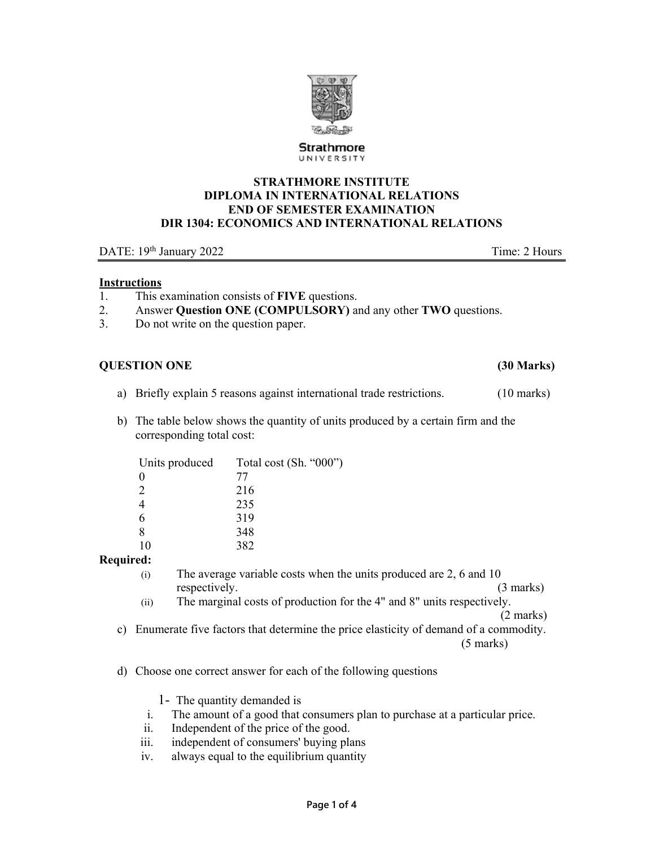

**Strathmore** UNIVERSITY

#### **STRATHMORE INSTITUTE DIPLOMA IN INTERNATIONAL RELATIONS END OF SEMESTER EXAMINATION DIR 1304: ECONOMICS AND INTERNATIONAL RELATIONS**

DATE: 19th January 2022 Time: 2 Hours

# **Instructions**  1. This examination consists of **FIVE** questions.

- 2. Answer **Question ONE (COMPULSORY)** and any other **TWO** questions.
- 3. Do not write on the question paper.

# **QUESTION ONE** (30 Marks)

# a) Briefly explain 5 reasons against international trade restrictions. (10 marks)

b) The table below shows the quantity of units produced by a certain firm and the corresponding total cost:

| Units produced | Total cost $(Sh. "000")$                                           |
|----------------|--------------------------------------------------------------------|
|                |                                                                    |
|                | 216                                                                |
|                | 235                                                                |
| 6              | 319                                                                |
| 8              | 348                                                                |
|                | 382                                                                |
| red:           |                                                                    |
| (i)            | The average variable costs when the units produced are 2, 6 and 10 |
| respectively   | $(3 \text{ marks})$                                                |

# **Required**

respectively. (3 marks) (ii) The marginal costs of production for the 4" and 8" units respectively.

(2 marks)

c) Enumerate five factors that determine the price elasticity of demand of a commodity. (5 marks)

d) Choose one correct answer for each of the following questions

1- The quantity demanded is

- i. The amount of a good that consumers plan to purchase at a particular price.
- ii. Independent of the price of the good.
- iii. independent of consumers' buying plans
- iv. always equal to the equilibrium quantity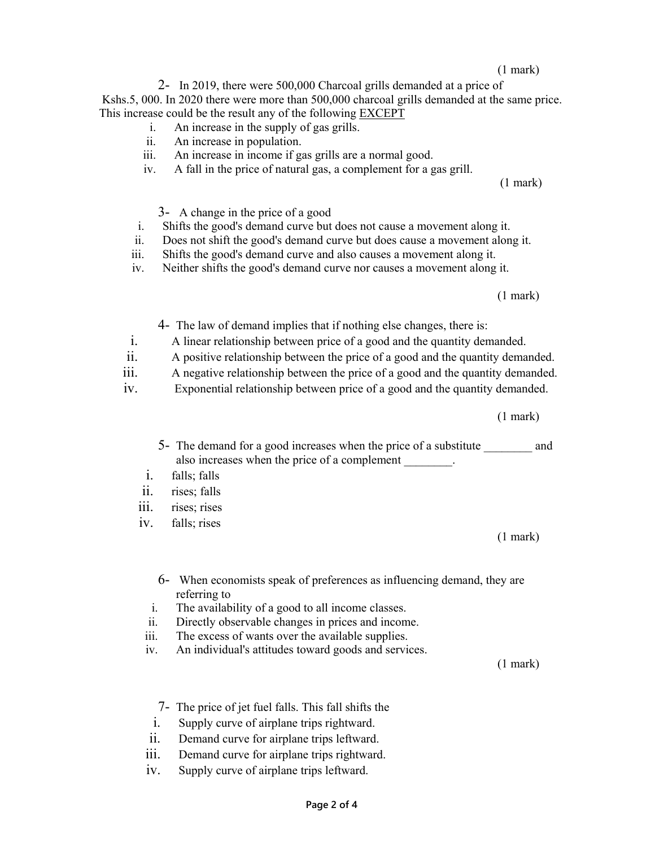(1 mark)

2- In 2019, there were 500,000 Charcoal grills demanded at a price of Kshs.5, 000. In 2020 there were more than 500,000 charcoal grills demanded at the same price. This increase could be the result any of the following EXCEPT

- i. An increase in the supply of gas grills.
- ii. An increase in population.
- iii. An increase in income if gas grills are a normal good.
- iv. A fall in the price of natural gas, a complement for a gas grill.

(1 mark)

- 3- A change in the price of a good
- i. Shifts the good's demand curve but does not cause a movement along it.
- ii. Does not shift the good's demand curve but does cause a movement along it.
- iii. Shifts the good's demand curve and also causes a movement along it.
- iv. Neither shifts the good's demand curve nor causes a movement along it.

(1 mark)

- 4- The law of demand implies that if nothing else changes, there is:
- i. A linear relationship between price of a good and the quantity demanded.
- ii. A positive relationship between the price of a good and the quantity demanded.
- iii. A negative relationship between the price of a good and the quantity demanded.
- iv. Exponential relationship between price of a good and the quantity demanded.

(1 mark)

(1 mark)

- 5- The demand for a good increases when the price of a substitute \_\_\_\_\_\_\_\_ and also increases when the price of a complement \_\_\_\_\_\_\_\_.
- i. falls; falls
- ii. rises; falls
- iii. rises; rises
- iv. falls; rises

6- When economists speak of preferences as influencing demand, they are referring to

- i. The availability of a good to all income classes.
- ii. Directly observable changes in prices and income.
- iii. The excess of wants over the available supplies.
- iv. An individual's attitudes toward goods and services.

(1 mark)

- 7- The price of jet fuel falls. This fall shifts the
- i. Supply curve of airplane trips rightward.
- ii. Demand curve for airplane trips leftward.
- iii. Demand curve for airplane trips rightward.
- iv. Supply curve of airplane trips leftward.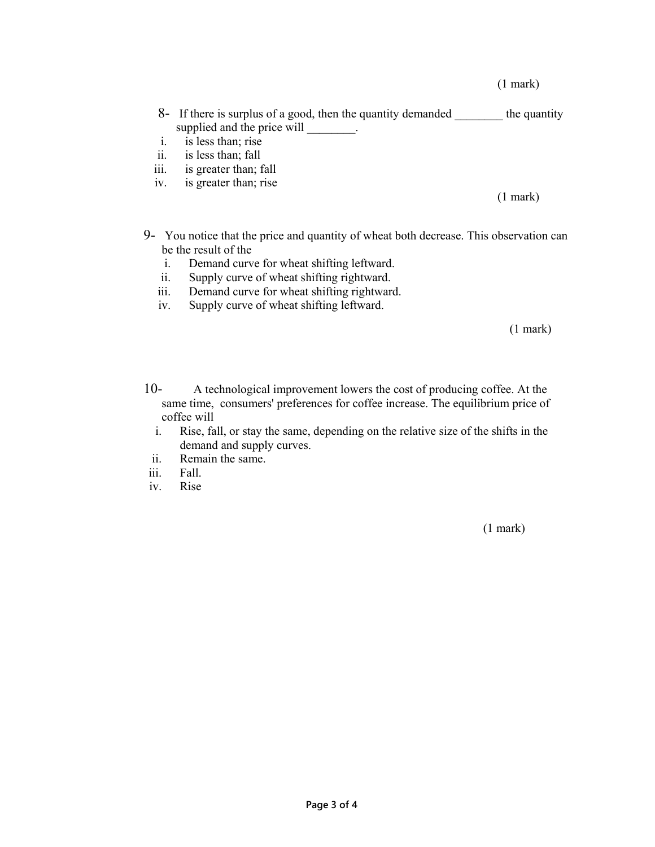- 8- If there is surplus of a good, then the quantity demanded \_\_\_\_\_\_\_\_ the quantity supplied and the price will  $\qquad \qquad$ .
- i. is less than; rise
- ii. is less than; fall
- iii. is greater than; fall
- iv. is greater than; rise

(1 mark)

- 9- You notice that the price and quantity of wheat both decrease. This observation can be the result of the
	- i. Demand curve for wheat shifting leftward.
	- ii. Supply curve of wheat shifting rightward.
	- iii. Demand curve for wheat shifting rightward.
	- iv. Supply curve of wheat shifting leftward.

(1 mark)

- 10- A technological improvement lowers the cost of producing coffee. At the same time, consumers' preferences for coffee increase. The equilibrium price of coffee will
	- i. Rise, fall, or stay the same, depending on the relative size of the shifts in the demand and supply curves.
	- ii. Remain the same.
- iii. Fall.
- iv. Rise

(1 mark)